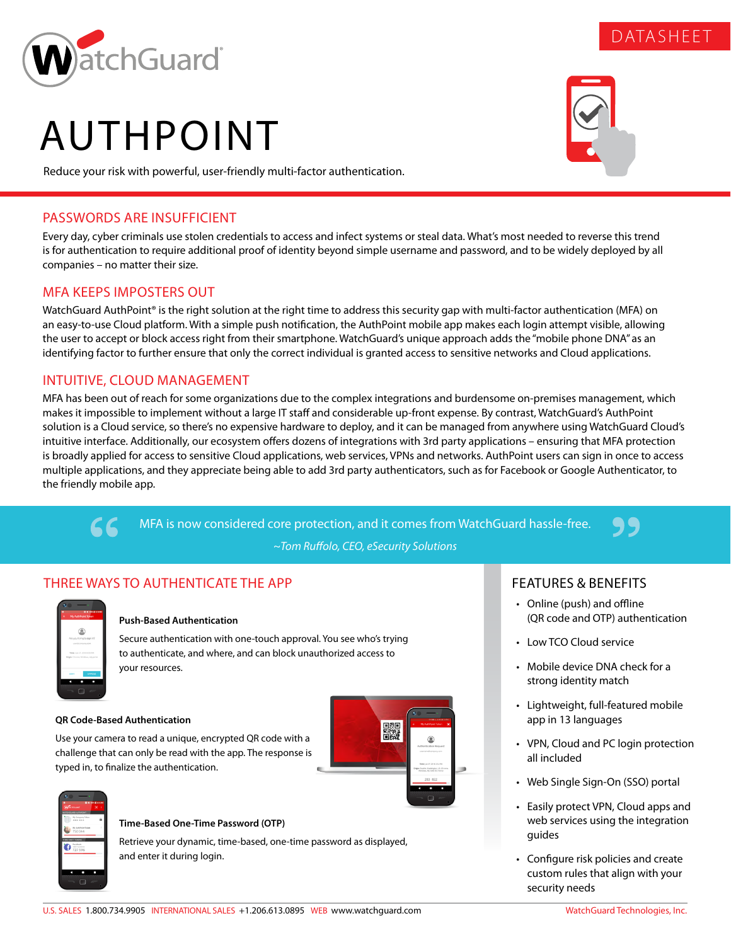

# AUTHPOINT

Reduce your risk with powerful, user-friendly multi-factor authentication.

## PASSWORDS ARE INSUFFICIENT

Every day, cyber criminals use stolen credentials to access and infect systems or steal data. What's most needed to reverse this trend is for authentication to require additional proof of identity beyond simple username and password, and to be widely deployed by all companies – no matter their size.

## MFA KEEPS IMPOSTERS OUT

WatchGuard AuthPoint® is the right solution at the right time to address this security gap with multi-factor authentication (MFA) on an easy-to-use Cloud platform. With a simple push notification, the AuthPoint mobile app makes each login attempt visible, allowing the user to accept or block access right from their smartphone. WatchGuard's unique approach adds the "mobile phone DNA" as an identifying factor to further ensure that only the correct individual is granted access to sensitive networks and Cloud applications.

## INTUITIVE, CLOUD MANAGEMENT

MFA has been out of reach for some organizations due to the complex integrations and burdensome on-premises management, which makes it impossible to implement without a large IT staff and considerable up-front expense. By contrast, WatchGuard's AuthPoint solution is a Cloud service, so there's no expensive hardware to deploy, and it can be managed from anywhere using WatchGuard Cloud's intuitive interface. Additionally, our ecosystem offers dozens of integrations with 3rd party applications – ensuring that MFA protection is broadly applied for access to sensitive Cloud applications, web services, VPNs and networks. AuthPoint users can sign in once to access multiple applications, and they appreciate being able to add 3rd party authenticators, such as for Facebook or Google Authenticator, to the friendly mobile app.

> MFA is now considered core protection, and it comes from WatchGuard hassle-free. *~Tom Ruffolo, CEO, eSecurity Solutions*

## THREE WAYS TO AUTHENTICATE THE APP

|                  | <b>BE SHOP BOOM</b>             |  |
|------------------|---------------------------------|--|
|                  | My AuthPoint Token              |  |
|                  |                                 |  |
|                  |                                 |  |
|                  | Are you trying to sign in?      |  |
|                  | <b><i>CONTRACTOR</i></b>        |  |
|                  | Time: Apr 27, 2018 8:00 AM      |  |
|                  | gle: Civane, Windows, Vp portal |  |
|                  |                                 |  |
| <b>Call Note</b> | APPROVE                         |  |
|                  |                                 |  |
|                  |                                 |  |

66

## **Push-Based Authentication**

Secure authentication with one-touch approval. You see who's trying to authenticate, and where, and can block unauthorized access to your resources.

## **QR Code-Based Authentication**

Use your camera to read a unique, encrypted QR code with a challenge that can only be read with the app. The response is typed in, to finalize the authentication.





#### **Time-Based One-Time Password (OTP)**

Retrieve your dynamic, time-based, one-time password as displayed, and enter it during login.

## FEATURES & BENEFITS

- Online (push) and offline (QR code and OTP) authentication
- Low TCO Cloud service
- Mobile device DNA check for a strong identity match
- Lightweight, full-featured mobile app in 13 languages
- VPN, Cloud and PC login protection all included
- Web Single Sign-On (SSO) portal
- Easily protect VPN, Cloud apps and web services using the integration guides
- Configure risk policies and create custom rules that align with your security needs



DATASHEET